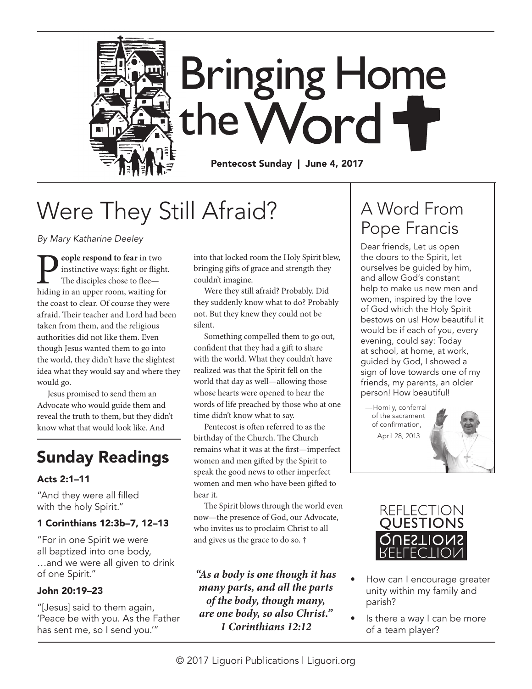

# Were They Still Afraid?

*By Mary Katharine Deeley*

**People respond to fear** in two instinctive ways: fight or flight. The disciples chose to flee—hiding in an upper room, waiting for instinctive ways: fight or flight. The disciples chose to flee the coast to clear. Of course they were afraid. Their teacher and Lord had been taken from them, and the religious authorities did not like them. Even though Jesus wanted them to go into the world, they didn't have the slightest idea what they would say and where they would go.

Jesus promised to send them an Advocate who would guide them and reveal the truth to them, but they didn't know what that would look like. And

## Sunday Readings

### Acts 2:1–11

"And they were all filled with the holy Spirit."

#### 1 Corinthians 12:3b–7, 12–13

"For in one Spirit we were all baptized into one body, …and we were all given to drink of one Spirit."

### John 20:19–23

"[Jesus] said to them again, 'Peace be with you. As the Father has sent me, so I send you.'"

into that locked room the Holy Spirit blew, bringing gifts of grace and strength they couldn't imagine.

Were they still afraid? Probably. Did they suddenly know what to do? Probably not. But they knew they could not be silent.

Something compelled them to go out, confident that they had a gift to share with the world. What they couldn't have realized was that the Spirit fell on the world that day as well—allowing those whose hearts were opened to hear the words of life preached by those who at one time didn't know what to say.

Pentecost is often referred to as the birthday of the Church. The Church remains what it was at the first—imperfect women and men gifted by the Spirit to speak the good news to other imperfect women and men who have been gifted to hear it.

The Spirit blows through the world even now—the presence of God, our Advocate, who invites us to proclaim Christ to all and gives us the grace to do so. †

*"As a body is one though it has many parts, and all the parts of the body, though many, are one body, so also Christ." 1 Corinthians 12:12*

## A Word From Pope Francis

Dear friends, Let us open the doors to the Spirit, let ourselves be guided by him, and allow God's constant help to make us new men and women, inspired by the love of God which the Holy Spirit bestows on us! How beautiful it would be if each of you, every evening, could say: Today at school, at home, at work, guided by God, I showed a sign of love towards one of my friends, my parents, an older person! How beautiful!

—Homily, conferral of the sacrament of confirmation, April 28, 2013





- How can I encourage greater unity within my family and parish?
- Is there a way I can be more of a team player?